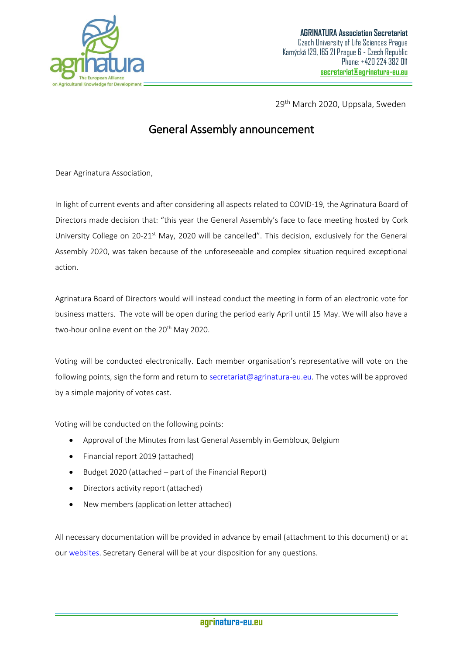

29<sup>th</sup> March 2020, Uppsala, Sweden

## General Assembly announcement

Dear Agrinatura Association,

In light of current events and after considering all aspects related to COVID-19, the Agrinatura Board of Directors made decision that: "this year the General Assembly's face to face meeting hosted by Cork University College on 20-21<sup>st</sup> May, 2020 will be cancelled". This decision, exclusively for the General Assembly 2020, was taken because of the unforeseeable and complex situation required exceptional action.

Agrinatura Board of Directors would will instead conduct the meeting in form of an electronic vote for business matters. The vote will be open during the period early April until 15 May. We will also have a two-hour online event on the 20<sup>th</sup> May 2020.

Voting will be conducted electronically. Each member organisation's representative will vote on the following points, sign the form and return to [secretariat@agrinatura-eu.eu.](mailto:secretariat@agrinatura-eu.eu) The votes will be approved by a simple majority of votes cast.

Voting will be conducted on the following points:

- Approval of the Minutes from last General Assembly in Gembloux, Belgium
- Financial report 2019 (attached)
- Budget 2020 (attached part of the Financial Report)
- Directors activity report (attached)
- New members (application letter attached)

All necessary documentation will be provided in advance by email (attachment to this document) or at ou[r websites.](https://agrinatura-eu.eu/activities-projects/communication-and-lobbying/general-assembly/agrinatura-general-assembly-2020/) Secretary General will be at your disposition for any questions.